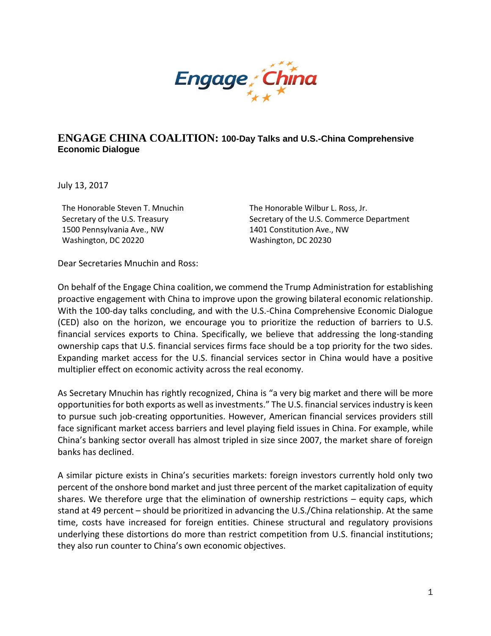

## **ENGAGE CHINA COALITION: 100-Day Talks and U.S.-China Comprehensive Economic Dialogue**

July 13, 2017

The Honorable Steven T. Mnuchin Secretary of the U.S. Treasury 1500 Pennsylvania Ave., NW Washington, DC 20220

The Honorable Wilbur L. Ross, Jr. Secretary of the U.S. Commerce Department 1401 Constitution Ave., NW Washington, DC 20230

Dear Secretaries Mnuchin and Ross:

On behalf of the Engage China coalition, we commend the Trump Administration for establishing proactive engagement with China to improve upon the growing bilateral economic relationship. With the 100-day talks concluding, and with the U.S.-China Comprehensive Economic Dialogue (CED) also on the horizon, we encourage you to prioritize the reduction of barriers to U.S. financial services exports to China. Specifically, we believe that addressing the long-standing ownership caps that U.S. financial services firms face should be a top priority for the two sides. Expanding market access for the U.S. financial services sector in China would have a positive multiplier effect on economic activity across the real economy.

As Secretary Mnuchin has rightly recognized, China is "a very big market and there will be more opportunities for both exports as well as investments." The U.S. financial services industry is keen to pursue such job-creating opportunities. However, American financial services providers still face significant market access barriers and level playing field issues in China. For example, while China's banking sector overall has almost tripled in size since 2007, the market share of foreign banks has declined.

A similar picture exists in China's securities markets: foreign investors currently hold only two percent of the onshore bond market and just three percent of the market capitalization of equity shares. We therefore urge that the elimination of ownership restrictions – equity caps, which stand at 49 percent – should be prioritized in advancing the U.S./China relationship. At the same time, costs have increased for foreign entities. Chinese structural and regulatory provisions underlying these distortions do more than restrict competition from U.S. financial institutions; they also run counter to China's own economic objectives.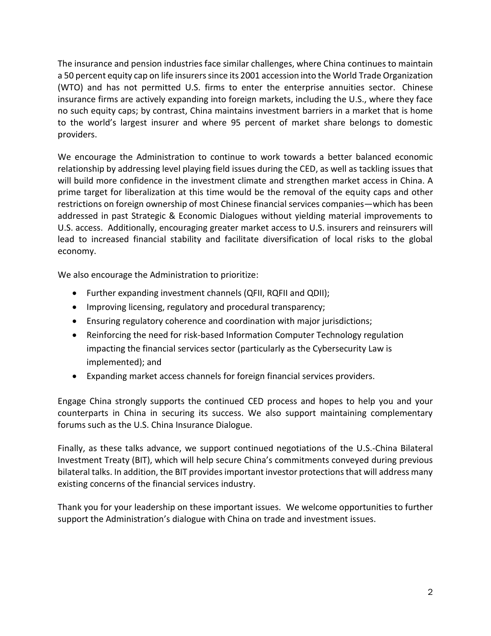The insurance and pension industries face similar challenges, where China continues to maintain a 50 percent equity cap on life insurers since its 2001 accession into the World Trade Organization (WTO) and has not permitted U.S. firms to enter the enterprise annuities sector. Chinese insurance firms are actively expanding into foreign markets, including the U.S., where they face no such equity caps; by contrast, China maintains investment barriers in a market that is home to the world's largest insurer and where 95 percent of market share belongs to domestic providers.

We encourage the Administration to continue to work towards a better balanced economic relationship by addressing level playing field issues during the CED, as well as tackling issues that will build more confidence in the investment climate and strengthen market access in China. A prime target for liberalization at this time would be the removal of the equity caps and other restrictions on foreign ownership of most Chinese financial services companies—which has been addressed in past Strategic & Economic Dialogues without yielding material improvements to U.S. access. Additionally, encouraging greater market access to U.S. insurers and reinsurers will lead to increased financial stability and facilitate diversification of local risks to the global economy.

We also encourage the Administration to prioritize:

- Further expanding investment channels (QFII, RQFII and QDII);
- Improving licensing, regulatory and procedural transparency;
- Ensuring regulatory coherence and coordination with major jurisdictions;
- Reinforcing the need for risk-based Information Computer Technology regulation impacting the financial services sector (particularly as the Cybersecurity Law is implemented); and
- Expanding market access channels for foreign financial services providers.

Engage China strongly supports the continued CED process and hopes to help you and your counterparts in China in securing its success. We also support maintaining complementary forums such as the U.S. China Insurance Dialogue.

Finally, as these talks advance, we support continued negotiations of the U.S.-China Bilateral Investment Treaty (BIT), which will help secure China's commitments conveyed during previous bilateral talks. In addition, the BIT provides important investor protections that will address many existing concerns of the financial services industry.

Thank you for your leadership on these important issues. We welcome opportunities to further support the Administration's dialogue with China on trade and investment issues.